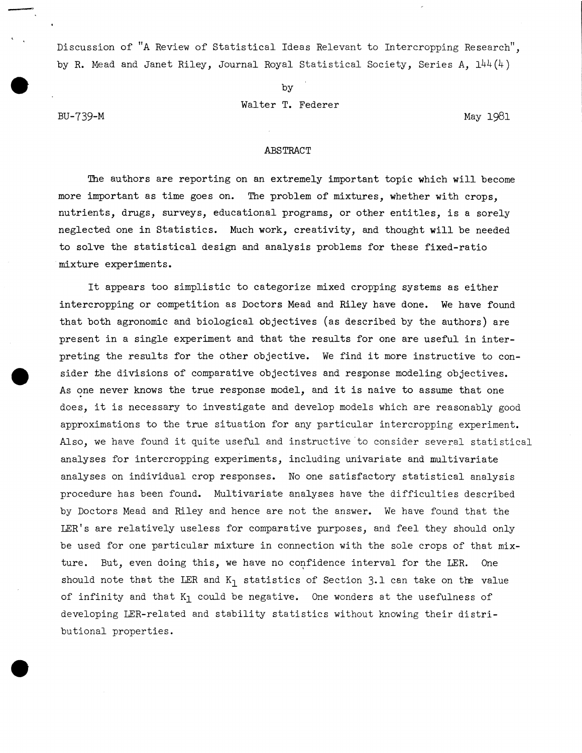Discussion of "A Review of Statistical Ideas Relevant to Intercropping Research", by R. Mead and Janet Riley, Journal Royal Statistical Society, Series A, 144(4)

by

## Walter T. Federer

BU-739-M May 1981

## ABSTRACT

The authors are reporting on an extremely important topic which will become more important as time goes on. The problem of mixtures, whether with crops, nutrients, drugs, surveys, educational programs, or other entitles, is a sorely neglected one in Statistics. Much work, creativity, and thought will be needed to solve the statistical design and analysis problems for these fixed-ratio mixture experiments.

It appears too simplistic to categorize mixed cropping systems as either intercropping or competition as Doctors Mead and Riley have done. We have found that both agronomic and biological objectives (as described by the authors) are present in a single experiment and that the results for one are useful in interpreting the results for the other objective. We find it more instructive to consider the divisions of comparative objectives and response modeling objectives. As one never knows the true response model, and it is naive to assume that one does, it is necessary to investigate and develop models which are reasonably good approximations to the true situation for any particular intercropping experiment. Also, we have found it quite useful and instructive to consider several statistical analyses for intercropping experiments, including univariate and multivariate analyses on individual crop responses. No one satisfactory statistical analysis procedure has been found. Multivariate analyses have the difficulties described by Doctors Mead and Riley and hence are not the answer. We have found that the LER's are relatively useless for comparative purposes, and feel they should only be used for one particular mixture in connection with the sole crops of that mixture. But, even doing this, we have no confidence interval for the LER. One should note that the LER and  $K_1$  statistics of Section 3.1 can take on the value of infinity and that  $K_1$  could be negative. One wonders at the usefulness of developing LER-related and stability statistics without knowing their distributional properties.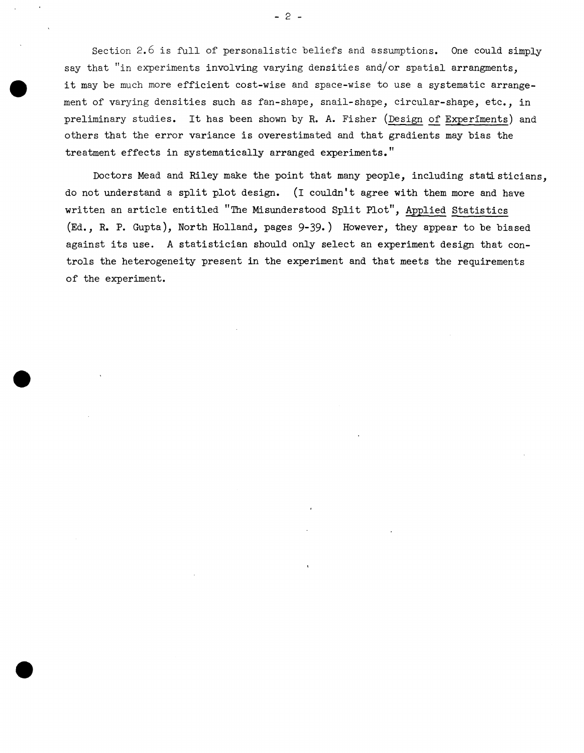Section 2.6 is full of personalistic beliefs and assumptions. One could simply say that "in experiments involving varying densities and/or spatial arrangments, it may be much more efficient cost-wise and space-wise to use a systematic arrangement of varying densities such as fan-shape, snail-shape, circular-shape, etc., in preliminary studies. It has been shown by R. A. Fisher (Design of Experiments) and others that the error variance is overestimated and that gradients may bias the treatment effects in systematically arranged experiments."

Doctors Mead and Riley make the point that many people, including statisticians. do not understand a split plot design. (I couldn't agree with them more and have written an article entitled "The Misunderstood Split Plot", Applied Statistics (Ed., R. P. Gupta), North Holland, pages 9-39.) However, they appear to be biased against its use. A statistician should only select an experiment design that controls the heterogeneity present in the experiment and that meets the requirements of the experiment.

- 2 -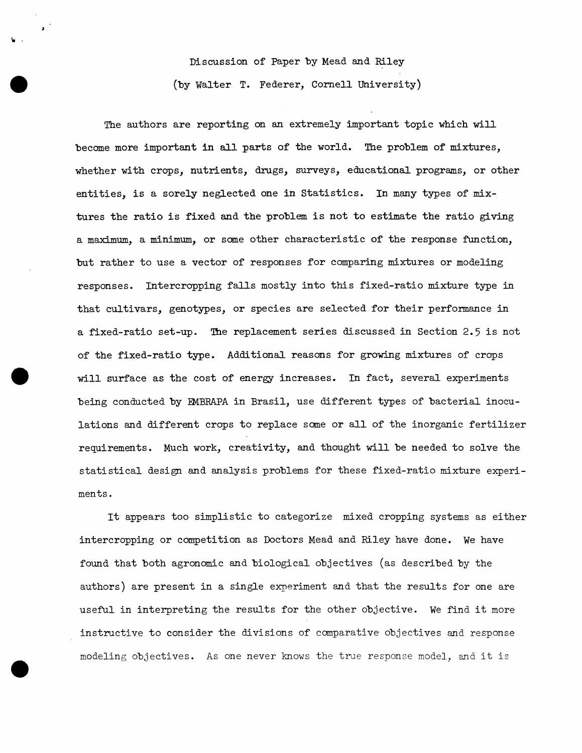Discussion of Paper by Mead and Riley (by Walter T. Federer, Cornell University)

... '

 $\mathbf{r}$ 

The authors are reporting on an extremely important topic which will become more important in all parts of the world. The problem of mixtures, whether with crops, nutrients, drugs, surveys, educational programs, or other entities, is a sorely neglected one in Statistics. In many types of mixtures the ratio is fixed and the problem is not to estimate the ratio giving a maximum, a minimum, or some other characteristic of the response function, but rather to use a vector of responses for comparing mixtures or modeling responses. Intercropping falls mostly into this fixed-ratio mixture type in that cultivars, genotypes, or species are selected for their performance in a fixed-ratio set-up. The replacement series discussed in Section 2.5 is not of the fixed-ratio type. Additional reasons for growing mixtures of crops will surface as the cost of energy increases. In fact, several experiments being conducted by EMBRAPA in Brasil, use different types of bacterial inoculations and different crops to replace some or all of the inorganic fertilizer requirements. Much work, creativity, and thought will be needed to solve the statistical design and analysis problems for these fixed-ratio mixture experiments.

It appears too simplistic to categorize mixed cropping systems as either intercropping or competition as Doctors Mead and Riley have done. we have found that both agronomic and biological objectives (as described by the authors) are present in a single experiment and that the results for one are useful in interpreting the results for the other objective. We find it more instructive to consider the divisions of comparative objectives and response modeling objectives. As one never knows the true response model, and it is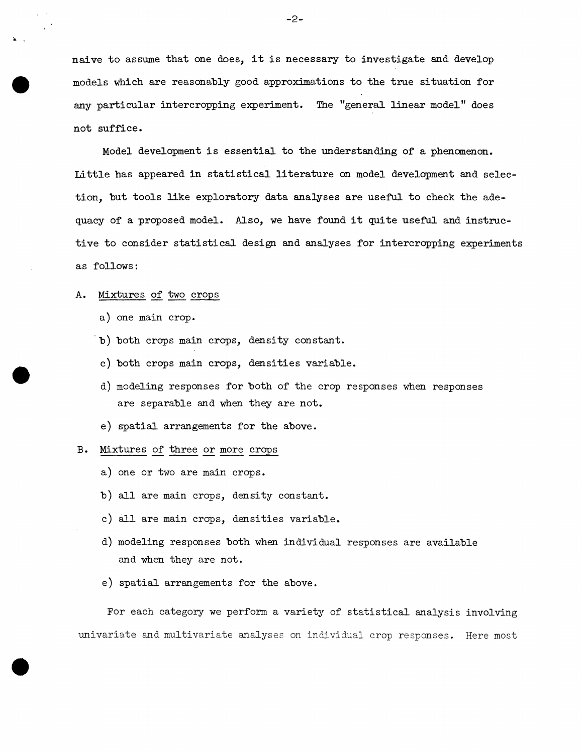naive to assume that one does, it is necessary to investigate and develop models which are reasonably good approximations to the true situation for any particular intercropping experiment. The "general linear model" does not suffice.

Model development is essential to the understanding of a phenomenon. Little has appeared in statistical literature on model development and selection, but tools like exploratory data analyses are useful to check the adequacy of a proposed model. Also, we have found it quite useful and instructive to consider statistical design and analyses for intercropping experiments as follows:

## A. Mixtures of two crops

- a) one main crop.
- ·b) both crops main crops, density constant.
- c) both crops main crops, densities variable.
- d) modeling responses for both of the crop responses when responses are separable and when they are not.
- e) spatial arrangements for the above.

## B. Mixtures of three or more crops

- a) one or two are main crops.
- b) all are main crops, density constant.
- c) all are main crops, densities variable.
- d) modeling responses both when individual responses are available and when they are not.
- e) spatial arrangements for the above.

For each category we perform a variety of statistical analysis involving univariate and multivariate analyses on individual crop responses. Here most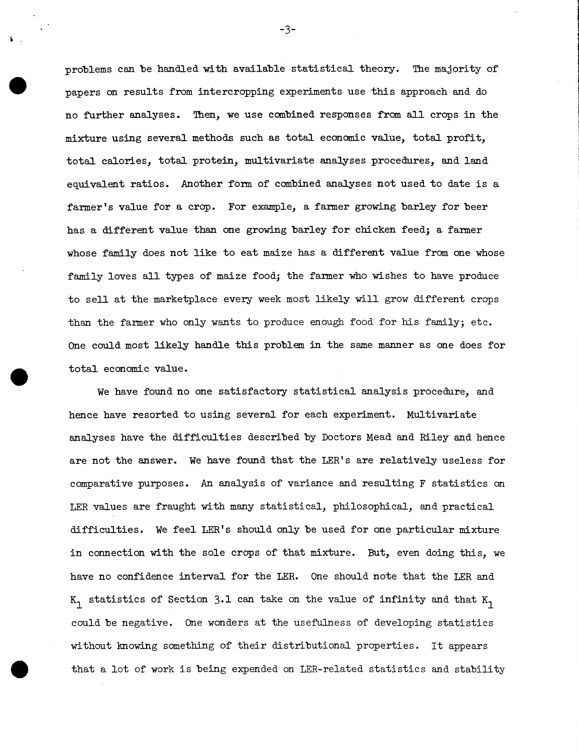problems can be handled with available statistical theory. The majority of papers on results from intercropping experiments use this approach and do no further analyses. Then, we use combined responses from all crops in the mixture using several methods such as total economic value, total profit, total calories, total protein, multivariate analyses procedures, and land equivalent ratios. Another form of combined analyses not used to date is a farmer's value for a crop. For example, a farmer growing barley for beer has a different value than one growing barley for chicken feed; a farmer whose family does not like to eat maize has a different value from one whose family loves all types of maize food; the farmer who wishes to have produce to sell at the marketplace every week most likely will grow different crops than the farmer who only wants to produce enough food for his family; etc. One could most likely handle this problem in the same manner as one does for total economic value.

We have found no one satisfactory statistical analysis procedure, and hence have resorted to using several for each experiment. Multivariate analyses have the difficulties described by Doctors Mead and Riley and hence are not the answer. We have found that the LER's are relatively useless for comparative purposes. An analysis of variance and resulting F statistics an LER values are fraught with many statistical, philosophical, and practical .difficulties. We feel LER's should only be used for one particular mixture in connection with the sole crops of that mixture. But, even doing this, we have no confidence interval for the LER. One should note that the LER and  $K_1$  statistics of Section 3.1 can take on the value of infinity and that  $K_1$ could be negative. One wonders at the usefulness of developing statistics without knowing something of their distributional properties. It appears that a lot of work is being expended on LER-related statistics and stability

-3-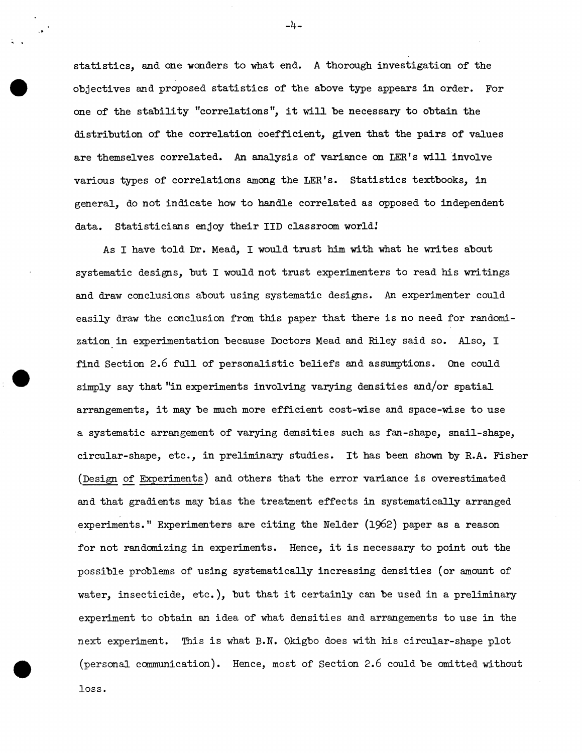statistics, and one wonders to what end. A thorough investigation of the objectives and proposed statistics of the above type appears in order. For one of the stability "correlations", it will be necessary to obtain the distribution of the correlation coefficient, given that the pairs of values are themselves correlated. An analysis of variance on LER's will involve various types of correlations among the LER's. Statistics textbooks, in general, do not indicate how to handle correlated as opposed to independent data. Statisticians enjoy their IID classroom world!

As I have told Dr. Mead, I would trust him with what he writes about systematic designs, but I would not trust experimenters to read his writings and draw conclusions about using systematic designs. An experimenter could easily draw the conclusion from this paper that there is no need for randomization in experimentation because Doctors Mead and Riley said so. Also, I find Section 2.6 full of personalistic beliefs and assumptions. One could simply say that "in experiments involving varying densities and/or spatial arrangements, it may be much more efficient cost-wise and space-wise to use a systematic arrangement of varying densities such as fan-shape, snail-shape, circular-shape, etc., in preliminary studies. It has been shown by R.A. Fisher (Design of Experiments) and others that the error variance is overestimated and that gradients may bias the treatment effects in systematically arranged experiments." Experimenters are citing the Nelder (1962) paper as a reason for not randomizing in experiments. Hence, it is necessary to point out the possible problems of using systematically increasing densities (or amount of water, insecticide, etc.), but that it certainly can be used in a preliminary experiment to obtain an idea of what densities and arrangements to use in the next experiment. This is what B.N. Okigbo does with his circular-shape plot (personal communication). Hence, most of Section 2.6 could be omitted without

loss.

.  $-4-$